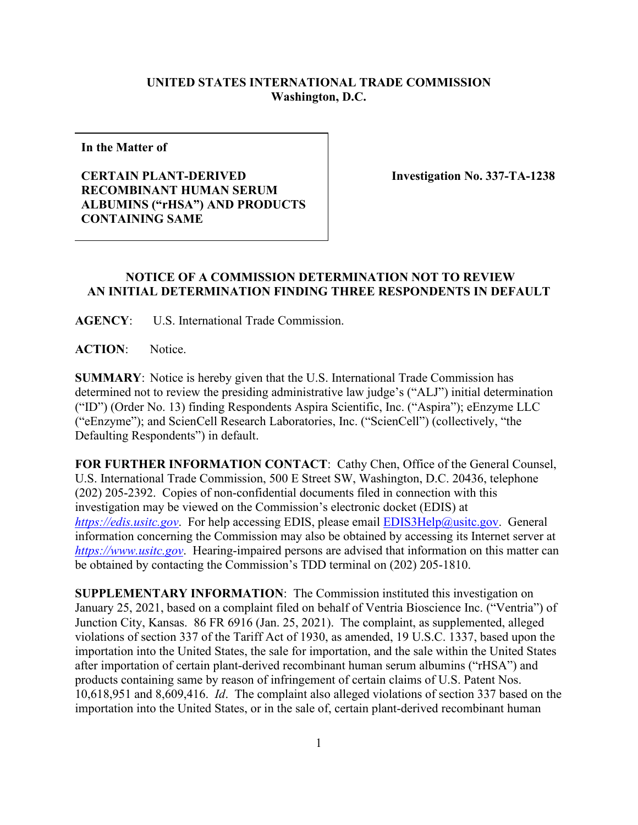## **UNITED STATES INTERNATIONAL TRADE COMMISSION Washington, D.C.**

**In the Matter of**

## **CERTAIN PLANT-DERIVED RECOMBINANT HUMAN SERUM ALBUMINS ("rHSA") AND PRODUCTS CONTAINING SAME**

 **Investigation No. 337-TA-1238**

## **NOTICE OF A COMMISSION DETERMINATION NOT TO REVIEW AN INITIAL DETERMINATION FINDING THREE RESPONDENTS IN DEFAULT**

**AGENCY**: U.S. International Trade Commission.

**ACTION**: Notice.

**SUMMARY**: Notice is hereby given that the U.S. International Trade Commission has determined not to review the presiding administrative law judge's ("ALJ") initial determination ("ID") (Order No. 13) finding Respondents Aspira Scientific, Inc. ("Aspira"); eEnzyme LLC ("eEnzyme"); and ScienCell Research Laboratories, Inc. ("ScienCell") (collectively, "the Defaulting Respondents") in default.

**FOR FURTHER INFORMATION CONTACT**: Cathy Chen, Office of the General Counsel, U.S. International Trade Commission, 500 E Street SW, Washington, D.C. 20436, telephone (202) 205-2392. Copies of non-confidential documents filed in connection with this investigation may be viewed on the Commission's electronic docket (EDIS) at *[https://edis.usitc.gov](https://edis.usitc.gov/).* For help accessing EDIS, please email [EDIS3Help@usitc.gov.](mailto:EDIS3Help@usitc.gov) General information concerning the Commission may also be obtained by accessing its Internet server at *[https://www.usitc.gov](https://www.usitc.gov/)*. Hearing-impaired persons are advised that information on this matter can be obtained by contacting the Commission's TDD terminal on (202) 205-1810.

**SUPPLEMENTARY INFORMATION**: The Commission instituted this investigation on January 25, 2021, based on a complaint filed on behalf of Ventria Bioscience Inc. ("Ventria") of Junction City, Kansas. 86 FR 6916 (Jan. 25, 2021). The complaint, as supplemented, alleged violations of section 337 of the Tariff Act of 1930, as amended, 19 U.S.C. 1337, based upon the importation into the United States, the sale for importation, and the sale within the United States after importation of certain plant-derived recombinant human serum albumins ("rHSA") and products containing same by reason of infringement of certain claims of U.S. Patent Nos. 10,618,951 and 8,609,416. *Id*. The complaint also alleged violations of section 337 based on the importation into the United States, or in the sale of, certain plant-derived recombinant human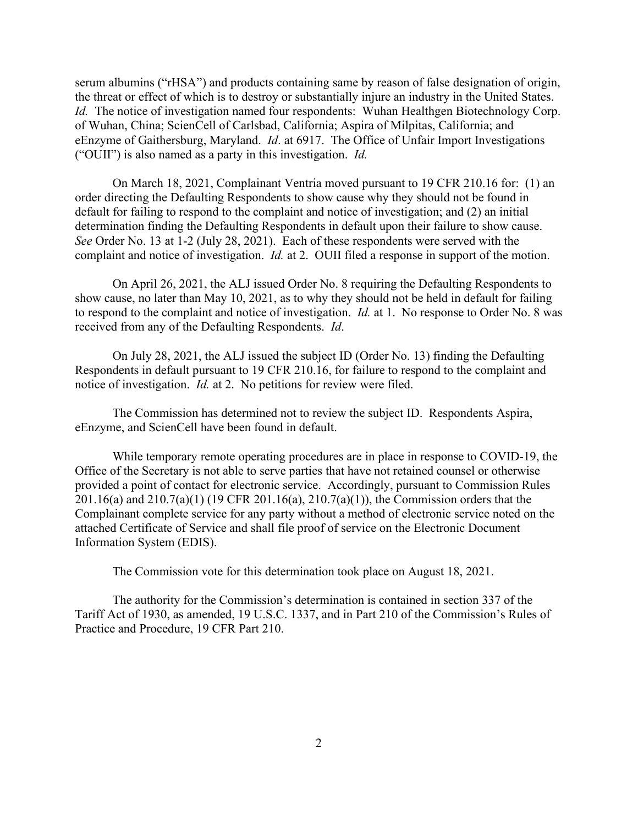serum albumins ("rHSA") and products containing same by reason of false designation of origin, the threat or effect of which is to destroy or substantially injure an industry in the United States. *Id.* The notice of investigation named four respondents: Wuhan Healthgen Biotechnology Corp. of Wuhan, China; ScienCell of Carlsbad, California; Aspira of Milpitas, California; and eEnzyme of Gaithersburg, Maryland. *Id*. at 6917. The Office of Unfair Import Investigations ("OUII") is also named as a party in this investigation. *Id.*

On March 18, 2021, Complainant Ventria moved pursuant to 19 CFR 210.16 for: (1) an order directing the Defaulting Respondents to show cause why they should not be found in default for failing to respond to the complaint and notice of investigation; and (2) an initial determination finding the Defaulting Respondents in default upon their failure to show cause. *See* Order No. 13 at 1-2 (July 28, 2021). Each of these respondents were served with the complaint and notice of investigation. *Id.* at 2. OUII filed a response in support of the motion.

On April 26, 2021, the ALJ issued Order No. 8 requiring the Defaulting Respondents to show cause, no later than May 10, 2021, as to why they should not be held in default for failing to respond to the complaint and notice of investigation. *Id.* at 1. No response to Order No. 8 was received from any of the Defaulting Respondents. *Id*.

On July 28, 2021, the ALJ issued the subject ID (Order No. 13) finding the Defaulting Respondents in default pursuant to 19 CFR 210.16, for failure to respond to the complaint and notice of investigation. *Id.* at 2. No petitions for review were filed.

The Commission has determined not to review the subject ID. Respondents Aspira, eEnzyme, and ScienCell have been found in default.

While temporary remote operating procedures are in place in response to COVID-19, the Office of the Secretary is not able to serve parties that have not retained counsel or otherwise provided a point of contact for electronic service. Accordingly, pursuant to Commission Rules 201.16(a) and 210.7(a)(1) (19 CFR 201.16(a), 210.7(a)(1)), the Commission orders that the Complainant complete service for any party without a method of electronic service noted on the attached Certificate of Service and shall file proof of service on the Electronic Document Information System (EDIS).

The Commission vote for this determination took place on August 18, 2021.

The authority for the Commission's determination is contained in section 337 of the Tariff Act of 1930, as amended, 19 U.S.C. 1337, and in Part 210 of the Commission's Rules of Practice and Procedure, 19 CFR Part 210.